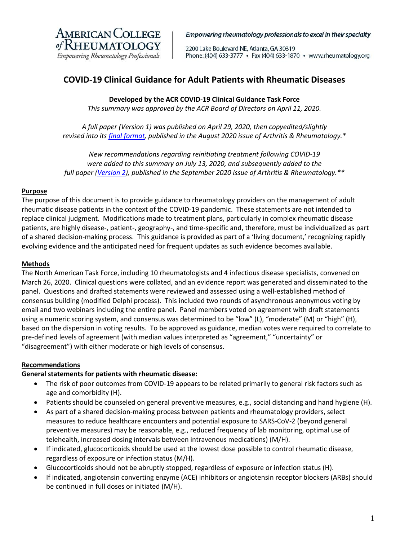

Empowering rheumatology professionals to excel in their specialty

2200 Lake Boulevard NE, Atlanta, GA 30319 Phone: (404) 633-3777 • Fax (404) 633-1870 • www.rheumatology.org

# **COVID-19 Clinical Guidance for Adult Patients with Rheumatic Diseases**

**Developed by the ACR COVID-19 Clinical Guidance Task Force** *This summary was approved by the ACR Board of Directors on April 11, 2020.*

*A full paper (Version 1) was published on April 29, 2020, then copyedited/slightly revised into its [final format,](https://onlinelibrary.wiley.com/doi/10.1002/art.41301) published in the August 2020 issue of Arthritis & Rheumatology.\**

*New recommendations regarding reinitiating treatment following COVID-19 were added to this summary on July 13, 2020, and subsequently added to the full paper [\(Version 2\)](https://onlinelibrary.wiley.com/doi/10.1002/art.41437), published in the September 2020 issue of Arthritis & Rheumatology.\*\**

#### **Purpose**

The purpose of this document is to provide guidance to rheumatology providers on the management of adult rheumatic disease patients in the context of the COVID-19 pandemic. These statements are not intended to replace clinical judgment. Modifications made to treatment plans, particularly in complex rheumatic disease patients, are highly disease-, patient-, geography-, and time-specific and, therefore, must be individualized as part of a shared decision-making process. This guidance is provided as part of a 'living document,' recognizing rapidly evolving evidence and the anticipated need for frequent updates as such evidence becomes available.

### **Methods**

The North American Task Force, including 10 rheumatologists and 4 infectious disease specialists, convened on March 26, 2020. Clinical questions were collated, and an evidence report was generated and disseminated to the panel. Questions and drafted statements were reviewed and assessed using a well-established method of consensus building (modified Delphi process). This included two rounds of asynchronous anonymous voting by email and two webinars including the entire panel. Panel members voted on agreement with draft statements using a numeric scoring system, and consensus was determined to be "low" (L), "moderate" (M) or "high" (H), based on the dispersion in voting results. To be approved as guidance, median votes were required to correlate to pre-defined levels of agreement (with median values interpreted as "agreement," "uncertainty" or "disagreement") with either moderate or high levels of consensus.

### **Recommendations**

### **General statements for patients with rheumatic disease:**

- The risk of poor outcomes from COVID-19 appears to be related primarily to general risk factors such as age and comorbidity (H).
- Patients should be counseled on general preventive measures, e.g., social distancing and hand hygiene (H).
- As part of a shared decision-making process between patients and rheumatology providers, select measures to reduce healthcare encounters and potential exposure to SARS-CoV-2 (beyond general preventive measures) may be reasonable, e.g., reduced frequency of lab monitoring, optimal use of telehealth, increased dosing intervals between intravenous medications) (M/H).
- If indicated, glucocorticoids should be used at the lowest dose possible to control rheumatic disease, regardless of exposure or infection status (M/H).
- Glucocorticoids should not be abruptly stopped, regardless of exposure or infection status (H).
- If indicated, angiotensin converting enzyme (ACE) inhibitors or angiotensin receptor blockers (ARBs) should be continued in full doses or initiated (M/H).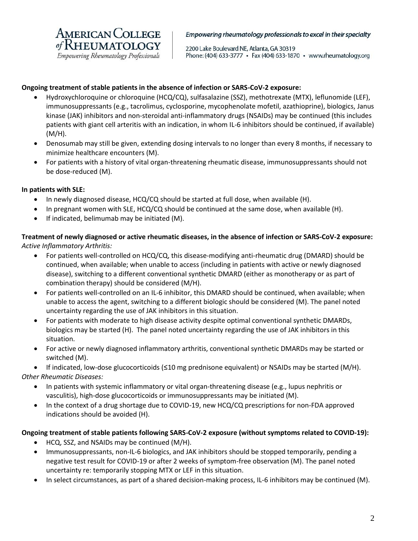

Empowering rheumatology professionals to excel in their specialty

2200 Lake Boulevard NE, Atlanta, GA 30319 Phone: (404) 633-3777 • Fax (404) 633-1870 • www.rheumatology.org

# **Ongoing treatment of stable patients in the absence of infection or SARS-CoV-2 exposure:**

- Hydroxychloroquine or chloroquine (HCQ/CQ), sulfasalazine (SSZ), methotrexate (MTX), leflunomide (LEF), immunosuppressants (e.g., tacrolimus, cyclosporine, mycophenolate mofetil, azathioprine), biologics, Janus kinase (JAK) inhibitors and non-steroidal anti-inflammatory drugs (NSAIDs) may be continued (this includes patients with giant cell arteritis with an indication, in whom IL-6 inhibitors should be continued, if available) (M/H).
- Denosumab may still be given, extending dosing intervals to no longer than every 8 months, if necessary to minimize healthcare encounters (M).
- For patients with a history of vital organ-threatening rheumatic disease, immunosuppressants should not be dose-reduced (M).

# **In patients with SLE:**

- In newly diagnosed disease, HCQ/CQ should be started at full dose, when available (H).
- In pregnant women with SLE, HCQ/CQ should be continued at the same dose, when available (H).
- If indicated, belimumab may be initiated (M).

# **Treatment of newly diagnosed or active rheumatic diseases, in the absence of infection or SARS-CoV-2 exposure:** *Active Inflammatory Arthritis:*

- For patients well-controlled on HCQ/CQ, this disease-modifying anti-rheumatic drug (DMARD) should be continued, when available; when unable to access (including in patients with active or newly diagnosed disease), switching to a different conventional synthetic DMARD (either as monotherapy or as part of combination therapy) should be considered (M/H).
- For patients well-controlled on an IL-6 inhibitor, this DMARD should be continued, when available; when unable to access the agent, switching to a different biologic should be considered (M). The panel noted uncertainty regarding the use of JAK inhibitors in this situation.
- For patients with moderate to high disease activity despite optimal conventional synthetic DMARDs, biologics may be started (H). The panel noted uncertainty regarding the use of JAK inhibitors in this situation.
- For active or newly diagnosed inflammatory arthritis, conventional synthetic DMARDs may be started or switched (M).

• If indicated, low-dose glucocorticoids (≤10 mg prednisone equivalent) or NSAIDs may be started (M/H). *Other Rheumatic Diseases:*

- In patients with systemic inflammatory or vital organ-threatening disease (e.g., lupus nephritis or vasculitis), high-dose glucocorticoids or immunosuppressants may be initiated (M).
- In the context of a drug shortage due to COVID-19, new HCQ/CQ prescriptions for non-FDA approved indications should be avoided (H).

# **Ongoing treatment of stable patients following SARS-CoV-2 exposure (without symptoms related to COVID-19):**

- HCQ, SSZ, and NSAIDs may be continued (M/H).
- Immunosuppressants, non-IL-6 biologics, and JAK inhibitors should be stopped temporarily, pending a negative test result for COVID-19 or after 2 weeks of symptom-free observation (M). The panel noted uncertainty re: temporarily stopping MTX or LEF in this situation.
- In select circumstances, as part of a shared decision-making process, IL-6 inhibitors may be continued (M).